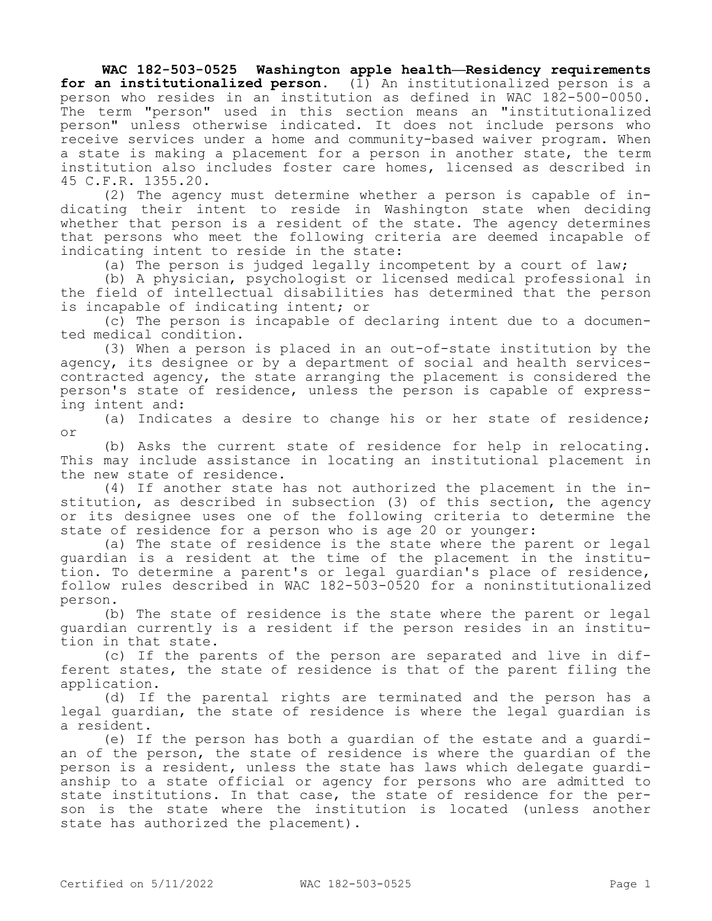**WAC 182-503-0525 Washington apple health—Residency requirements for an institutionalized person.** (1) An institutionalized person is a person who resides in an institution as defined in WAC 182-500-0050. The term "person" used in this section means an "institutionalized person" unless otherwise indicated. It does not include persons who receive services under a home and community-based waiver program. When a state is making a placement for a person in another state, the term institution also includes foster care homes, licensed as described in 45 C.F.R. 1355.20.

(2) The agency must determine whether a person is capable of indicating their intent to reside in Washington state when deciding whether that person is a resident of the state. The agency determines that persons who meet the following criteria are deemed incapable of indicating intent to reside in the state:

(a) The person is judged legally incompetent by a court of law;

(b) A physician, psychologist or licensed medical professional in the field of intellectual disabilities has determined that the person is incapable of indicating intent; or

(c) The person is incapable of declaring intent due to a documented medical condition.

(3) When a person is placed in an out-of-state institution by the agency, its designee or by a department of social and health servicescontracted agency, the state arranging the placement is considered the person's state of residence, unless the person is capable of expressing intent and:

(a) Indicates a desire to change his or her state of residence; or

(b) Asks the current state of residence for help in relocating. This may include assistance in locating an institutional placement in the new state of residence.

(4) If another state has not authorized the placement in the institution, as described in subsection (3) of this section, the agency or its designee uses one of the following criteria to determine the state of residence for a person who is age 20 or younger:

(a) The state of residence is the state where the parent or legal guardian is a resident at the time of the placement in the institution. To determine a parent's or legal guardian's place of residence, follow rules described in WAC 182-503-0520 for a noninstitutionalized person.

(b) The state of residence is the state where the parent or legal guardian currently is a resident if the person resides in an institution in that state.

(c) If the parents of the person are separated and live in different states, the state of residence is that of the parent filing the application.

(d) If the parental rights are terminated and the person has a legal guardian, the state of residence is where the legal guardian is a resident.

(e) If the person has both a guardian of the estate and a guardian of the person, the state of residence is where the guardian of the person is a resident, unless the state has laws which delegate guardianship to a state official or agency for persons who are admitted to state institutions. In that case, the state of residence for the person is the state where the institution is located (unless another state has authorized the placement).